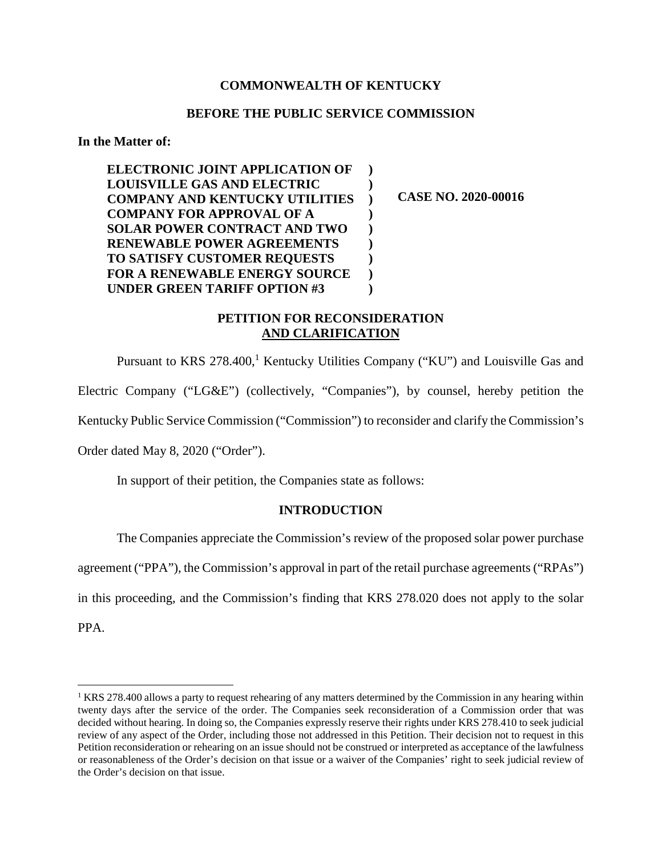## **COMMONWEALTH OF KENTUCKY**

#### **BEFORE THE PUBLIC SERVICE COMMISSION**

**In the Matter of:** 

 **ELECTRONIC JOINT APPLICATION OF LOUISVILLE GAS AND ELECTRIC COMPANY AND KENTUCKY UTILITIES COMPANY FOR APPROVAL OF A SOLAR POWER CONTRACT AND TWO RENEWABLE POWER AGREEMENTS TO SATISFY CUSTOMER REQUESTS FOR A RENEWABLE ENERGY SOURCE UNDER GREEN TARIFF OPTION #3 ) ) ) ) ) ) ) ) )** 

**CASE NO. 2020-00016** 

# **PETITION FOR RECONSIDERATION AND CLARIFICATION**

Pursuant to KRS 278.400,<sup>1</sup> Kentucky Utilities Company ("KU") and Louisville Gas and

Electric Company ("LG&E") (collectively, "Companies"), by counsel, hereby petition the

Kentucky Public Service Commission ("Commission") to reconsider and clarify the Commission's

Order dated May 8, 2020 ("Order").

In support of their petition, the Companies state as follows:

#### **INTRODUCTION**

The Companies appreciate the Commission's review of the proposed solar power purchase agreement ("PPA"), the Commission's approval in part of the retail purchase agreements ("RPAs") in this proceeding, and the Commission's finding that KRS 278.020 does not apply to the solar PPA.

<sup>&</sup>lt;sup>1</sup> KRS 278.400 allows a party to request rehearing of any matters determined by the Commission in any hearing within twenty days after the service of the order. The Companies seek reconsideration of a Commission order that was decided without hearing. In doing so, the Companies expressly reserve their rights under KRS 278.410 to seek judicial review of any aspect of the Order, including those not addressed in this Petition. Their decision not to request in this Petition reconsideration or rehearing on an issue should not be construed or interpreted as acceptance of the lawfulness or reasonableness of the Order's decision on that issue or a waiver of the Companies' right to seek judicial review of the Order's decision on that issue.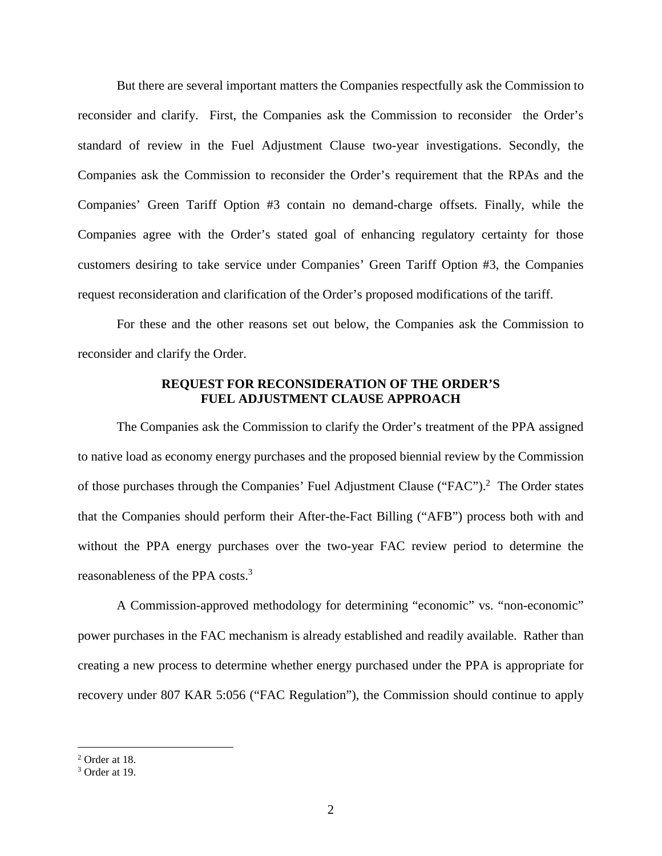But there are several important matters the Companies respectfully ask the Commission to reconsider and clarify. First, the Companies ask the Commission to reconsider the Order's standard of review in the Fuel Adjustment Clause two-year investigations. Secondly, the Companies ask the Commission to reconsider the Order's requirement that the RPAs and the Companies' Green Tariff Option #3 contain no demand-charge offsets. Finally, while the Companies agree with the Order's stated goal of enhancing regulatory certainty for those customers desiring to take service under Companies' Green Tariff Option #3, the Companies request reconsideration and clarification of the Order's proposed modifications of the tariff.

For these and the other reasons set out below, the Companies ask the Commission to reconsider and clarify the Order.

## **REQUEST FOR RECONSIDERATION OF THE ORDER'S FUEL ADJUSTMENT CLAUSE APPROACH**

The Companies ask the Commission to clarify the Order's treatment of the PPA assigned to native load as economy energy purchases and the proposed biennial review by the Commission of those purchases through the Companies' Fuel Adjustment Clause ("FAC").<sup>2</sup> The Order states that the Companies should perform their After-the-Fact Billing ("AFB") process both with and without the PPA energy purchases over the two-year FAC review period to determine the reasonableness of the PPA costs.<sup>3</sup>

A Commission-approved methodology for determining "economic" vs. "non-economic" power purchases in the FAC mechanism is already established and readily available. Rather than creating a new process to determine whether energy purchased under the PPA is appropriate for recovery under 807 KAR 5:056 ("FAC Regulation"), the Commission should continue to apply

<sup>2</sup> Order at 18.

<sup>3</sup> Order at 19.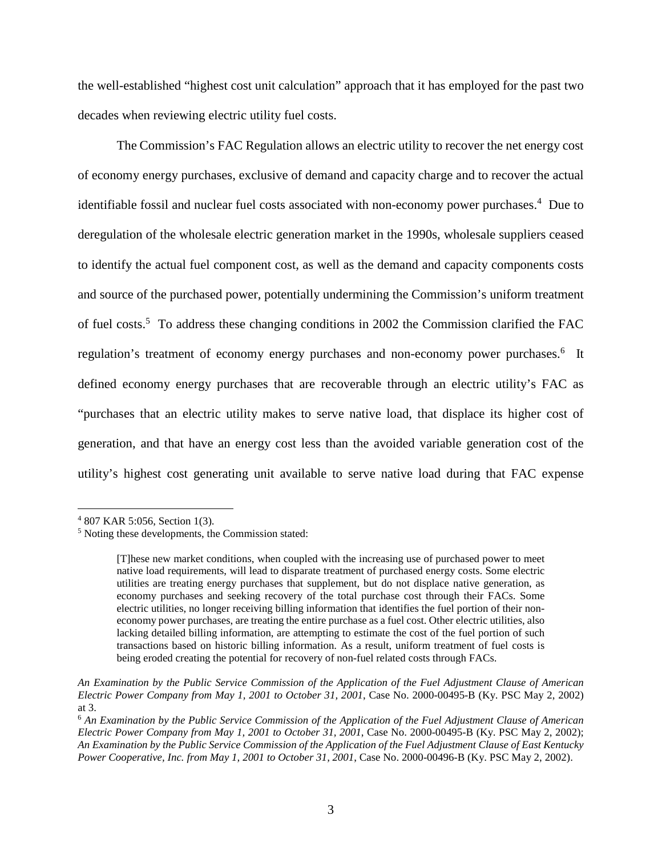the well-established "highest cost unit calculation" approach that it has employed for the past two decades when reviewing electric utility fuel costs.

The Commission's FAC Regulation allows an electric utility to recover the net energy cost of economy energy purchases, exclusive of demand and capacity charge and to recover the actual identifiable fossil and nuclear fuel costs associated with non-economy power purchases.<sup>4</sup> Due to deregulation of the wholesale electric generation market in the 1990s, wholesale suppliers ceased to identify the actual fuel component cost, as well as the demand and capacity components costs and source of the purchased power, potentially undermining the Commission's uniform treatment of fuel costs.<sup>5</sup> To address these changing conditions in 2002 the Commission clarified the FAC regulation's treatment of economy energy purchases and non-economy power purchases.<sup>6</sup> It defined economy energy purchases that are recoverable through an electric utility's FAC as "purchases that an electric utility makes to serve native load, that displace its higher cost of generation, and that have an energy cost less than the avoided variable generation cost of the utility's highest cost generating unit available to serve native load during that FAC expense

<sup>4</sup> 807 KAR 5:056, Section 1(3).

<sup>5</sup> Noting these developments, the Commission stated:

<sup>[</sup>T]hese new market conditions, when coupled with the increasing use of purchased power to meet native load requirements, will lead to disparate treatment of purchased energy costs. Some electric utilities are treating energy purchases that supplement, but do not displace native generation, as economy purchases and seeking recovery of the total purchase cost through their FACs. Some electric utilities, no longer receiving billing information that identifies the fuel portion of their noneconomy power purchases, are treating the entire purchase as a fuel cost. Other electric utilities, also lacking detailed billing information, are attempting to estimate the cost of the fuel portion of such transactions based on historic billing information. As a result, uniform treatment of fuel costs is being eroded creating the potential for recovery of non-fuel related costs through FACs.

*An Examination by the Public Service Commission of the Application of the Fuel Adjustment Clause of American Electric Power Company from May 1, 2001 to October 31, 2001*, Case No. 2000-00495-B (Ky. PSC May 2, 2002) at 3.

<sup>6</sup> *An Examination by the Public Service Commission of the Application of the Fuel Adjustment Clause of American Electric Power Company from May 1, 2001 to October 31, 2001*, Case No. 2000-00495-B (Ky. PSC May 2, 2002); *An Examination by the Public Service Commission of the Application of the Fuel Adjustment Clause of East Kentucky Power Cooperative, Inc. from May 1, 2001 to October 31, 2001*, Case No. 2000-00496-B (Ky. PSC May 2, 2002).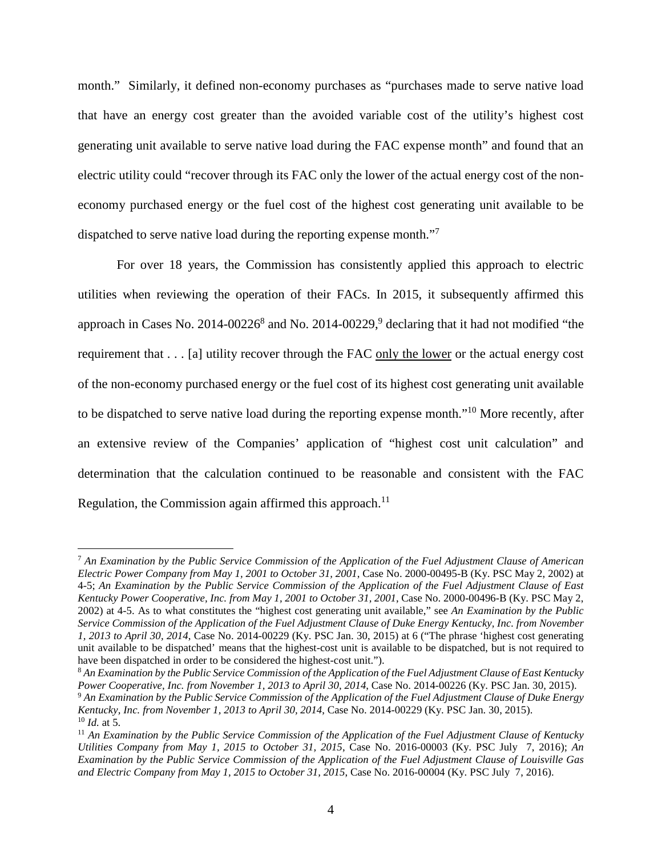month." Similarly, it defined non-economy purchases as "purchases made to serve native load that have an energy cost greater than the avoided variable cost of the utility's highest cost generating unit available to serve native load during the FAC expense month" and found that an electric utility could "recover through its FAC only the lower of the actual energy cost of the noneconomy purchased energy or the fuel cost of the highest cost generating unit available to be dispatched to serve native load during the reporting expense month."<sup>7</sup>

For over 18 years, the Commission has consistently applied this approach to electric utilities when reviewing the operation of their FACs. In 2015, it subsequently affirmed this approach in Cases No. 2014-00226<sup>8</sup> and No. 2014-00229,<sup>9</sup> declaring that it had not modified "the requirement that . . . [a] utility recover through the FAC only the lower or the actual energy cost of the non-economy purchased energy or the fuel cost of its highest cost generating unit available to be dispatched to serve native load during the reporting expense month."<sup>10</sup> More recently, after an extensive review of the Companies' application of "highest cost unit calculation" and determination that the calculation continued to be reasonable and consistent with the FAC Regulation, the Commission again affirmed this approach.<sup>11</sup>

<sup>7</sup> *An Examination by the Public Service Commission of the Application of the Fuel Adjustment Clause of American Electric Power Company from May 1, 2001 to October 31, 2001*, Case No. 2000-00495-B (Ky. PSC May 2, 2002) at 4-5; *An Examination by the Public Service Commission of the Application of the Fuel Adjustment Clause of East Kentucky Power Cooperative, Inc. from May 1, 2001 to October 31, 2001*, Case No. 2000-00496-B (Ky. PSC May 2, 2002) at 4-5. As to what constitutes the "highest cost generating unit available," see *An Examination by the Public Service Commission of the Application of the Fuel Adjustment Clause of Duke Energy Kentucky, Inc. from November 1, 2013 to April 30, 2014*, Case No. 2014-00229 (Ky. PSC Jan. 30, 2015) at 6 ("The phrase 'highest cost generating unit available to be dispatched' means that the highest-cost unit is available to be dispatched, but is not required to have been dispatched in order to be considered the highest-cost unit.").

<sup>8</sup> *An Examination by the Public Service Commission of the Application of the Fuel Adjustment Clause of East Kentucky Power Cooperative, Inc. from November 1, 2013 to April 30, 2014*, Case No. 2014-00226 (Ky. PSC Jan. 30, 2015).

<sup>9</sup> *An Examination by the Public Service Commission of the Application of the Fuel Adjustment Clause of Duke Energy Kentucky, Inc. from November 1, 2013 to April 30, 2014*, Case No. 2014-00229 (Ky. PSC Jan. 30, 2015).

 $^{10}$  *Id.* at 5.

<sup>11</sup> *An Examination by the Public Service Commission of the Application of the Fuel Adjustment Clause of Kentucky Utilities Company from May 1, 2015 to October 31, 2015*, Case No. 2016-00003 (Ky. PSC July 7, 2016); *An Examination by the Public Service Commission of the Application of the Fuel Adjustment Clause of Louisville Gas and Electric Company from May 1, 2015 to October 31, 2015*, Case No. 2016-00004 (Ky. PSC July 7, 2016).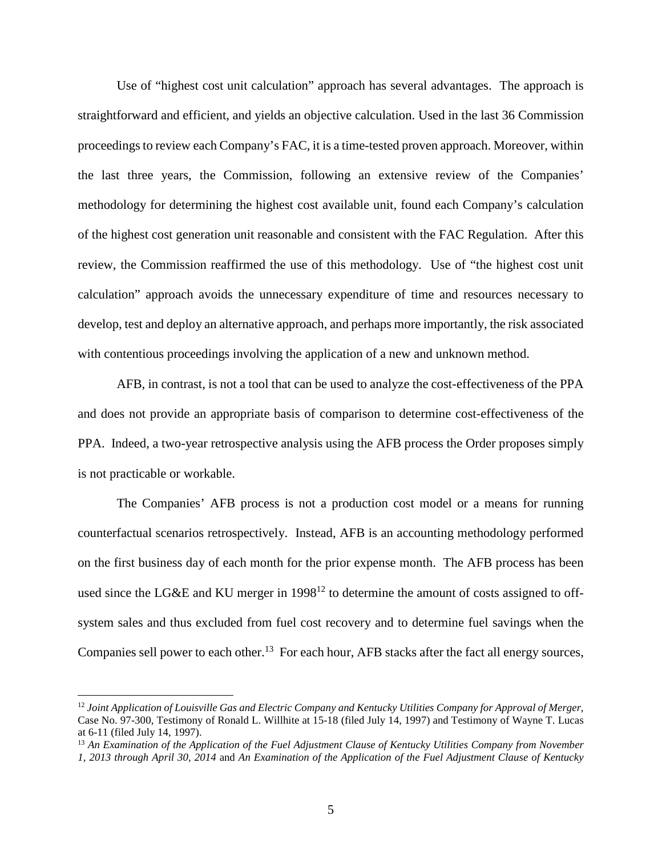Use of "highest cost unit calculation" approach has several advantages. The approach is straightforward and efficient, and yields an objective calculation. Used in the last 36 Commission proceedings to review each Company's FAC, it is a time-tested proven approach. Moreover, within the last three years, the Commission, following an extensive review of the Companies' methodology for determining the highest cost available unit, found each Company's calculation of the highest cost generation unit reasonable and consistent with the FAC Regulation. After this review, the Commission reaffirmed the use of this methodology. Use of "the highest cost unit calculation" approach avoids the unnecessary expenditure of time and resources necessary to develop, test and deploy an alternative approach, and perhaps more importantly, the risk associated with contentious proceedings involving the application of a new and unknown method.

AFB, in contrast, is not a tool that can be used to analyze the cost-effectiveness of the PPA and does not provide an appropriate basis of comparison to determine cost-effectiveness of the PPA. Indeed, a two-year retrospective analysis using the AFB process the Order proposes simply is not practicable or workable.

The Companies' AFB process is not a production cost model or a means for running counterfactual scenarios retrospectively. Instead, AFB is an accounting methodology performed on the first business day of each month for the prior expense month. The AFB process has been used since the LG&E and KU merger in  $1998^{12}$  to determine the amount of costs assigned to offsystem sales and thus excluded from fuel cost recovery and to determine fuel savings when the Companies sell power to each other.<sup>13</sup> For each hour, AFB stacks after the fact all energy sources,

<sup>12</sup> *Joint Application of Louisville Gas and Electric Company and Kentucky Utilities Company for Approval of Merger*, Case No. 97-300, Testimony of Ronald L. Willhite at 15-18 (filed July 14, 1997) and Testimony of Wayne T. Lucas at 6-11 (filed July 14, 1997).

<sup>13</sup> *An Examination of the Application of the Fuel Adjustment Clause of Kentucky Utilities Company from November 1, 2013 through April 30, 2014* and *An Examination of the Application of the Fuel Adjustment Clause of Kentucky*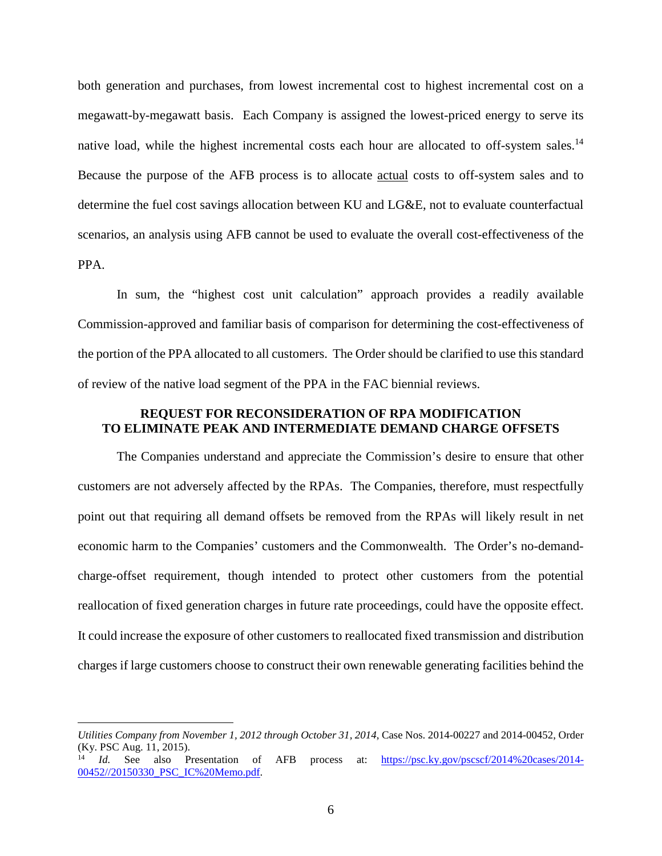both generation and purchases, from lowest incremental cost to highest incremental cost on a megawatt-by-megawatt basis. Each Company is assigned the lowest-priced energy to serve its native load, while the highest incremental costs each hour are allocated to off-system sales.<sup>14</sup> Because the purpose of the AFB process is to allocate actual costs to off-system sales and to determine the fuel cost savings allocation between KU and LG&E, not to evaluate counterfactual scenarios, an analysis using AFB cannot be used to evaluate the overall cost-effectiveness of the PPA.

In sum, the "highest cost unit calculation" approach provides a readily available Commission-approved and familiar basis of comparison for determining the cost-effectiveness of the portion of the PPA allocated to all customers. The Order should be clarified to use this standard of review of the native load segment of the PPA in the FAC biennial reviews.

# **REQUEST FOR RECONSIDERATION OF RPA MODIFICATION TO ELIMINATE PEAK AND INTERMEDIATE DEMAND CHARGE OFFSETS**

The Companies understand and appreciate the Commission's desire to ensure that other customers are not adversely affected by the RPAs. The Companies, therefore, must respectfully point out that requiring all demand offsets be removed from the RPAs will likely result in net economic harm to the Companies' customers and the Commonwealth. The Order's no-demandcharge-offset requirement, though intended to protect other customers from the potential reallocation of fixed generation charges in future rate proceedings, could have the opposite effect. It could increase the exposure of other customers to reallocated fixed transmission and distribution charges if large customers choose to construct their own renewable generating facilities behind the

*Utilities Company from November 1, 2012 through October 31, 2014*, Case Nos. 2014-00227 and 2014-00452, Order (Ky. PSC Aug. 11, 2015).

<sup>14</sup> *Id.* See also Presentation of AFB process at: https://psc.ky.gov/pscscf/2014%20cases/2014- 00452//20150330\_PSC\_IC%20Memo.pdf.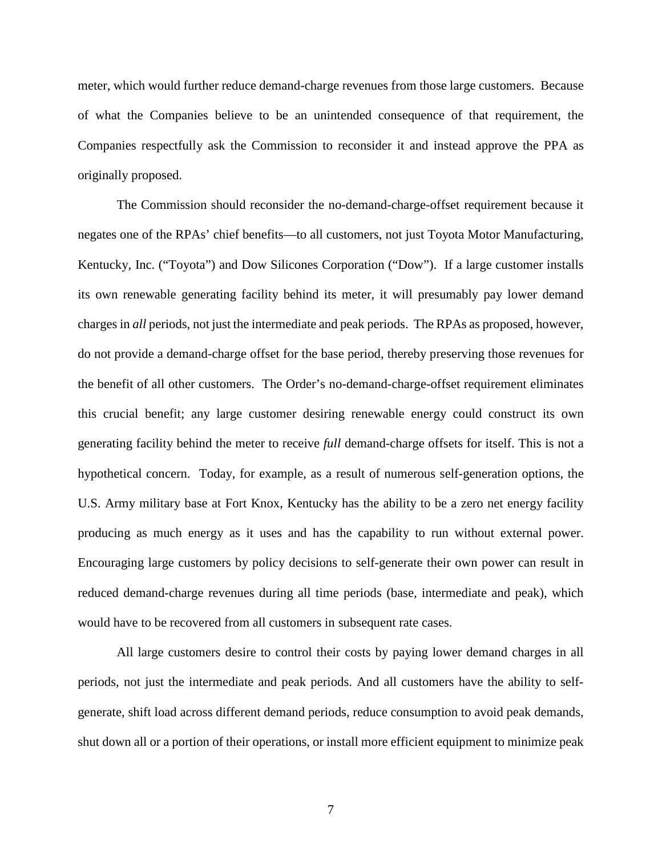meter, which would further reduce demand-charge revenues from those large customers. Because of what the Companies believe to be an unintended consequence of that requirement, the Companies respectfully ask the Commission to reconsider it and instead approve the PPA as originally proposed.

The Commission should reconsider the no-demand-charge-offset requirement because it negates one of the RPAs' chief benefits—to all customers, not just Toyota Motor Manufacturing, Kentucky, Inc. ("Toyota") and Dow Silicones Corporation ("Dow"). If a large customer installs its own renewable generating facility behind its meter, it will presumably pay lower demand charges in *all* periods, not just the intermediate and peak periods. The RPAs as proposed, however, do not provide a demand-charge offset for the base period, thereby preserving those revenues for the benefit of all other customers. The Order's no-demand-charge-offset requirement eliminates this crucial benefit; any large customer desiring renewable energy could construct its own generating facility behind the meter to receive *full* demand-charge offsets for itself. This is not a hypothetical concern. Today, for example, as a result of numerous self-generation options, the U.S. Army military base at Fort Knox, Kentucky has the ability to be a zero net energy facility producing as much energy as it uses and has the capability to run without external power. Encouraging large customers by policy decisions to self-generate their own power can result in reduced demand-charge revenues during all time periods (base, intermediate and peak), which would have to be recovered from all customers in subsequent rate cases.

All large customers desire to control their costs by paying lower demand charges in all periods, not just the intermediate and peak periods. And all customers have the ability to selfgenerate, shift load across different demand periods, reduce consumption to avoid peak demands, shut down all or a portion of their operations, or install more efficient equipment to minimize peak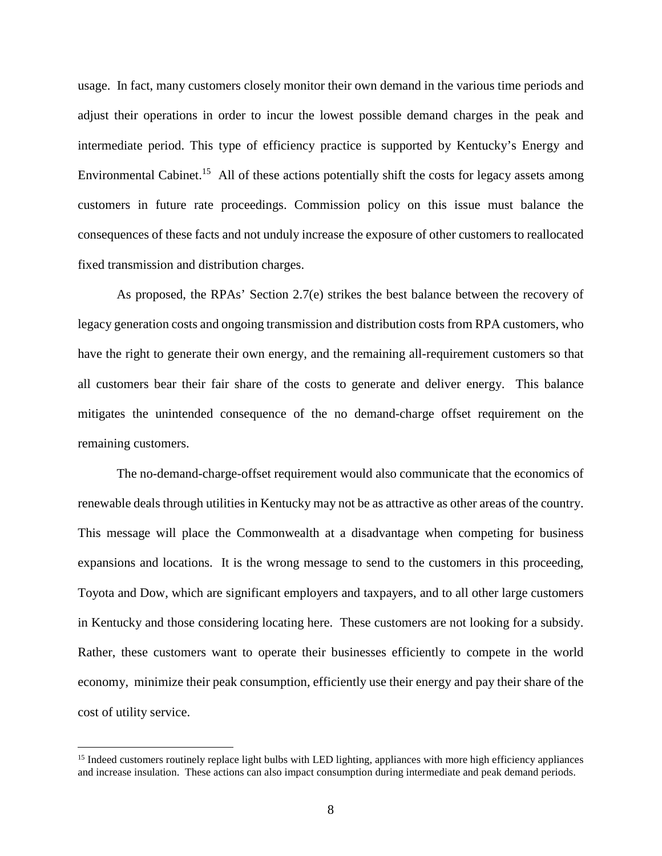usage. In fact, many customers closely monitor their own demand in the various time periods and adjust their operations in order to incur the lowest possible demand charges in the peak and intermediate period. This type of efficiency practice is supported by Kentucky's Energy and Environmental Cabinet.<sup>15</sup> All of these actions potentially shift the costs for legacy assets among customers in future rate proceedings. Commission policy on this issue must balance the consequences of these facts and not unduly increase the exposure of other customers to reallocated fixed transmission and distribution charges.

As proposed, the RPAs' Section 2.7(e) strikes the best balance between the recovery of legacy generation costs and ongoing transmission and distribution costs from RPA customers, who have the right to generate their own energy, and the remaining all-requirement customers so that all customers bear their fair share of the costs to generate and deliver energy. This balance mitigates the unintended consequence of the no demand-charge offset requirement on the remaining customers.

The no-demand-charge-offset requirement would also communicate that the economics of renewable deals through utilities in Kentucky may not be as attractive as other areas of the country. This message will place the Commonwealth at a disadvantage when competing for business expansions and locations. It is the wrong message to send to the customers in this proceeding, Toyota and Dow, which are significant employers and taxpayers, and to all other large customers in Kentucky and those considering locating here. These customers are not looking for a subsidy. Rather, these customers want to operate their businesses efficiently to compete in the world economy, minimize their peak consumption, efficiently use their energy and pay their share of the cost of utility service.

<sup>&</sup>lt;sup>15</sup> Indeed customers routinely replace light bulbs with LED lighting, appliances with more high efficiency appliances and increase insulation. These actions can also impact consumption during intermediate and peak demand periods.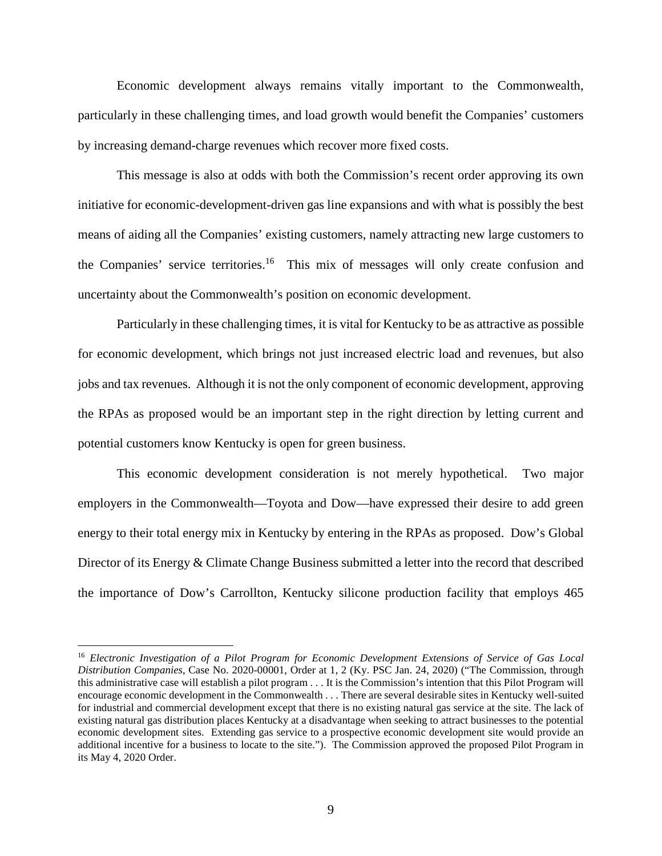Economic development always remains vitally important to the Commonwealth, particularly in these challenging times, and load growth would benefit the Companies' customers by increasing demand-charge revenues which recover more fixed costs.

This message is also at odds with both the Commission's recent order approving its own initiative for economic-development-driven gas line expansions and with what is possibly the best means of aiding all the Companies' existing customers, namely attracting new large customers to the Companies' service territories.<sup>16</sup> This mix of messages will only create confusion and uncertainty about the Commonwealth's position on economic development.

Particularly in these challenging times, it is vital for Kentucky to be as attractive as possible for economic development, which brings not just increased electric load and revenues, but also jobs and tax revenues. Although it is not the only component of economic development, approving the RPAs as proposed would be an important step in the right direction by letting current and potential customers know Kentucky is open for green business.

This economic development consideration is not merely hypothetical. Two major employers in the Commonwealth—Toyota and Dow—have expressed their desire to add green energy to their total energy mix in Kentucky by entering in the RPAs as proposed. Dow's Global Director of its Energy & Climate Change Business submitted a letter into the record that described the importance of Dow's Carrollton, Kentucky silicone production facility that employs 465

<sup>16</sup> *Electronic Investigation of a Pilot Program for Economic Development Extensions of Service of Gas Local Distribution Companies*, Case No. 2020-00001, Order at 1, 2 (Ky. PSC Jan. 24, 2020) ("The Commission, through this administrative case will establish a pilot program . . . It is the Commission's intention that this Pilot Program will encourage economic development in the Commonwealth . . . There are several desirable sites in Kentucky well-suited for industrial and commercial development except that there is no existing natural gas service at the site. The lack of existing natural gas distribution places Kentucky at a disadvantage when seeking to attract businesses to the potential economic development sites. Extending gas service to a prospective economic development site would provide an additional incentive for a business to locate to the site."). The Commission approved the proposed Pilot Program in its May 4, 2020 Order.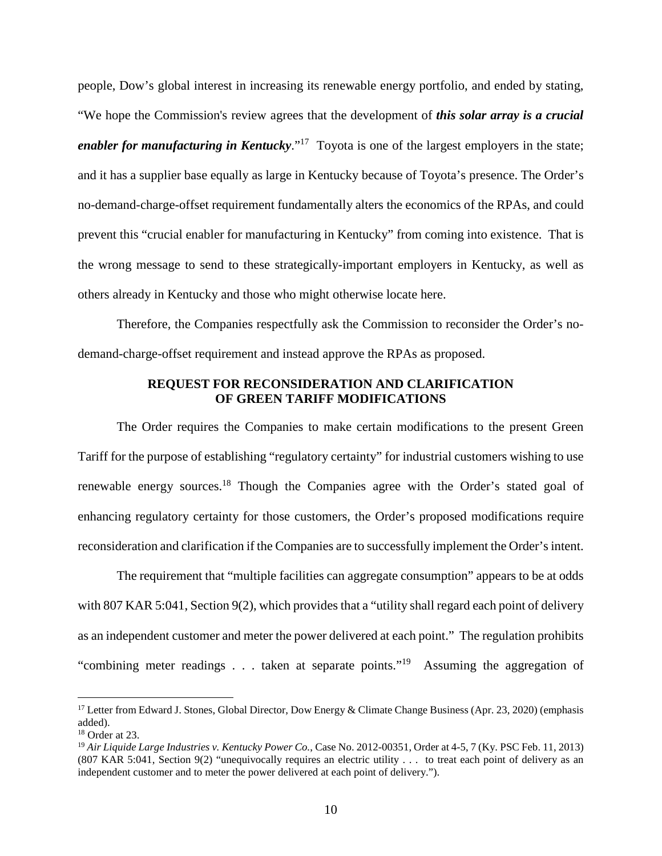people, Dow's global interest in increasing its renewable energy portfolio, and ended by stating, "We hope the Commission's review agrees that the development of *this solar array is a crucial enabler for manufacturing in Kentucky*."<sup>17</sup> Toyota is one of the largest employers in the state; and it has a supplier base equally as large in Kentucky because of Toyota's presence. The Order's no-demand-charge-offset requirement fundamentally alters the economics of the RPAs, and could prevent this "crucial enabler for manufacturing in Kentucky" from coming into existence. That is the wrong message to send to these strategically-important employers in Kentucky, as well as others already in Kentucky and those who might otherwise locate here.

Therefore, the Companies respectfully ask the Commission to reconsider the Order's nodemand-charge-offset requirement and instead approve the RPAs as proposed.

### **REQUEST FOR RECONSIDERATION AND CLARIFICATION OF GREEN TARIFF MODIFICATIONS**

The Order requires the Companies to make certain modifications to the present Green Tariff for the purpose of establishing "regulatory certainty" for industrial customers wishing to use renewable energy sources.<sup>18</sup> Though the Companies agree with the Order's stated goal of enhancing regulatory certainty for those customers, the Order's proposed modifications require reconsideration and clarification if the Companies are to successfully implement the Order's intent.

The requirement that "multiple facilities can aggregate consumption" appears to be at odds with 807 KAR 5:041, Section 9(2), which provides that a "utility shall regard each point of delivery as an independent customer and meter the power delivered at each point." The regulation prohibits "combining meter readings . . . taken at separate points."<sup>19</sup> Assuming the aggregation of

<sup>&</sup>lt;sup>17</sup> Letter from Edward J. Stones, Global Director, Dow Energy & Climate Change Business (Apr. 23, 2020) (emphasis added).

<sup>18</sup> Order at 23.

<sup>19</sup> *Air Liquide Large Industries v. Kentucky Power Co.*, Case No. 2012-00351, Order at 4-5, 7 (Ky. PSC Feb. 11, 2013) (807 KAR 5:041, Section 9(2) "unequivocally requires an electric utility . . . to treat each point of delivery as an independent customer and to meter the power delivered at each point of delivery.").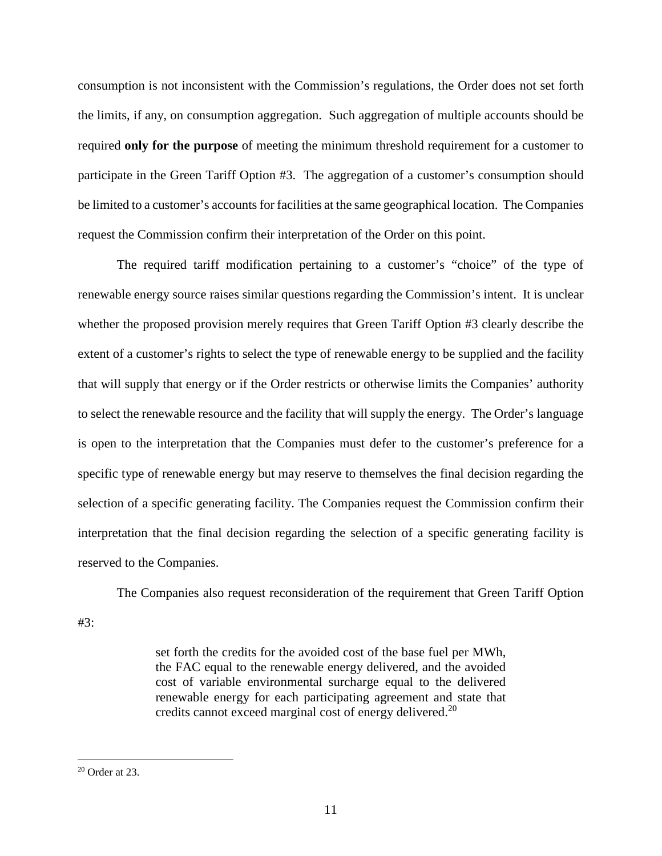consumption is not inconsistent with the Commission's regulations, the Order does not set forth the limits, if any, on consumption aggregation. Such aggregation of multiple accounts should be required **only for the purpose** of meeting the minimum threshold requirement for a customer to participate in the Green Tariff Option #3. The aggregation of a customer's consumption should be limited to a customer's accounts for facilities at the same geographical location. The Companies request the Commission confirm their interpretation of the Order on this point.

The required tariff modification pertaining to a customer's "choice" of the type of renewable energy source raises similar questions regarding the Commission's intent. It is unclear whether the proposed provision merely requires that Green Tariff Option #3 clearly describe the extent of a customer's rights to select the type of renewable energy to be supplied and the facility that will supply that energy or if the Order restricts or otherwise limits the Companies' authority to select the renewable resource and the facility that will supply the energy. The Order's language is open to the interpretation that the Companies must defer to the customer's preference for a specific type of renewable energy but may reserve to themselves the final decision regarding the selection of a specific generating facility. The Companies request the Commission confirm their interpretation that the final decision regarding the selection of a specific generating facility is reserved to the Companies.

The Companies also request reconsideration of the requirement that Green Tariff Option #3:

> set forth the credits for the avoided cost of the base fuel per MWh, the FAC equal to the renewable energy delivered, and the avoided cost of variable environmental surcharge equal to the delivered renewable energy for each participating agreement and state that credits cannot exceed marginal cost of energy delivered.<sup>20</sup>

<sup>20</sup> Order at 23.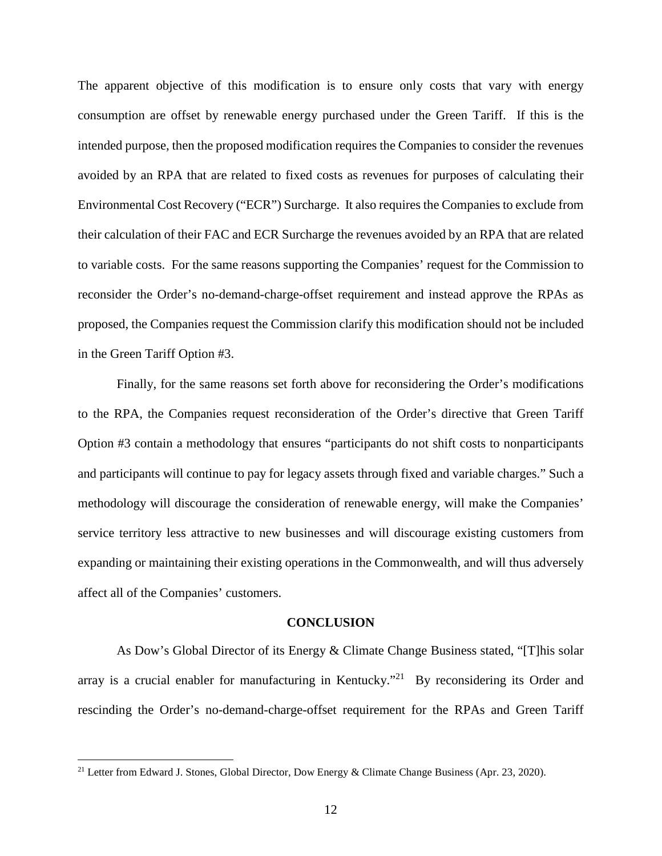The apparent objective of this modification is to ensure only costs that vary with energy consumption are offset by renewable energy purchased under the Green Tariff. If this is the intended purpose, then the proposed modification requires the Companies to consider the revenues avoided by an RPA that are related to fixed costs as revenues for purposes of calculating their Environmental Cost Recovery ("ECR") Surcharge. It also requires the Companies to exclude from their calculation of their FAC and ECR Surcharge the revenues avoided by an RPA that are related to variable costs. For the same reasons supporting the Companies' request for the Commission to reconsider the Order's no-demand-charge-offset requirement and instead approve the RPAs as proposed, the Companies request the Commission clarify this modification should not be included in the Green Tariff Option #3.

Finally, for the same reasons set forth above for reconsidering the Order's modifications to the RPA, the Companies request reconsideration of the Order's directive that Green Tariff Option #3 contain a methodology that ensures "participants do not shift costs to nonparticipants and participants will continue to pay for legacy assets through fixed and variable charges." Such a methodology will discourage the consideration of renewable energy, will make the Companies' service territory less attractive to new businesses and will discourage existing customers from expanding or maintaining their existing operations in the Commonwealth, and will thus adversely affect all of the Companies' customers.

#### **CONCLUSION**

As Dow's Global Director of its Energy & Climate Change Business stated, "[T]his solar array is a crucial enabler for manufacturing in Kentucky."<sup>21</sup> By reconsidering its Order and rescinding the Order's no-demand-charge-offset requirement for the RPAs and Green Tariff

<sup>&</sup>lt;sup>21</sup> Letter from Edward J. Stones, Global Director, Dow Energy & Climate Change Business (Apr. 23, 2020).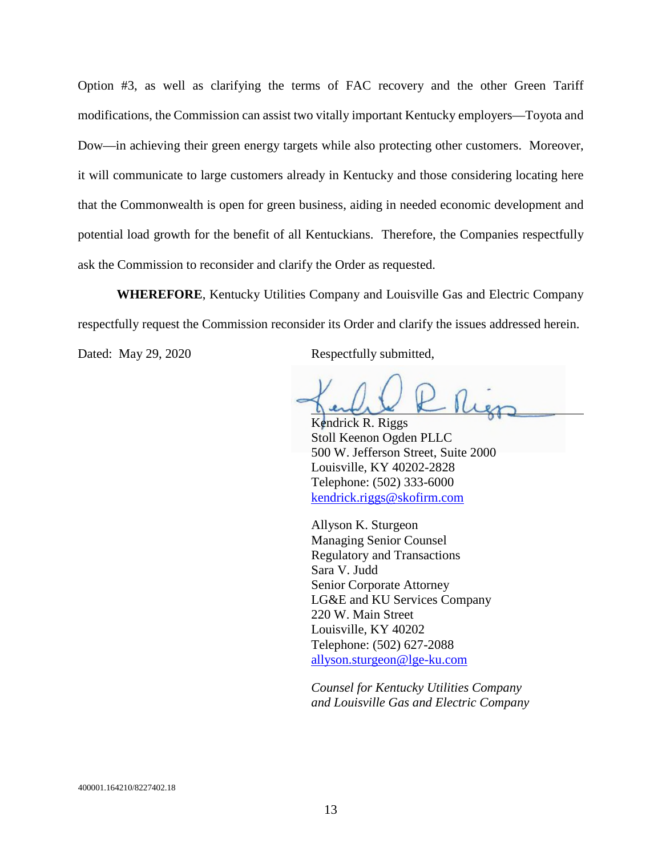Option #3, as well as clarifying the terms of FAC recovery and the other Green Tariff modifications, the Commission can assist two vitally important Kentucky employers—Toyota and Dow—in achieving their green energy targets while also protecting other customers. Moreover, it will communicate to large customers already in Kentucky and those considering locating here that the Commonwealth is open for green business, aiding in needed economic development and potential load growth for the benefit of all Kentuckians. Therefore, the Companies respectfully ask the Commission to reconsider and clarify the Order as requested.

**WHEREFORE**, Kentucky Utilities Company and Louisville Gas and Electric Company respectfully request the Commission reconsider its Order and clarify the issues addressed herein.

Dated: May 29, 2020 Respectfully submitted,

Kendrick R. Riggs

Stoll Keenon Ogden PLLC 500 W. Jefferson Street, Suite 2000 Louisville, KY 40202-2828 Telephone: (502) 333-6000 kendrick.riggs@skofirm.com

Allyson K. Sturgeon Managing Senior Counsel Regulatory and Transactions Sara V. Judd Senior Corporate Attorney LG&E and KU Services Company 220 W. Main Street Louisville, KY 40202 Telephone: (502) 627-2088 allyson.sturgeon@lge-ku.com

*Counsel for Kentucky Utilities Company and Louisville Gas and Electric Company*